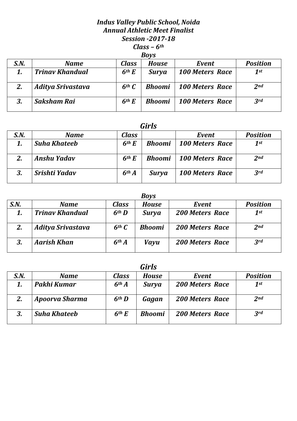## *Indus Valley Public School, Noida Annual Athletic Meet Finalist Session -2017-18 Class – 6th Boys*

|      | 20 V V                   |                   |               |                        |                 |  |  |  |
|------|--------------------------|-------------------|---------------|------------------------|-----------------|--|--|--|
| S.N. | <b>Name</b>              | <b>Class</b>      | House         | Event                  | <b>Position</b> |  |  |  |
|      | <b>Trinav Khandual</b>   | 6 <sup>th</sup> E | <b>Surya</b>  | <b>100 Meters Race</b> | 1st             |  |  |  |
| 2.   | <b>Aditya Srivastava</b> | $6th$ $C$         | <b>Bhoomi</b> | <b>100 Meters Race</b> | 2 <sub>nd</sub> |  |  |  |
|      | <b>Saksham Rai</b>       | 6 <sup>th</sup> E | <b>Bhoomi</b> | <b>100 Meters Race</b> | 3rd             |  |  |  |

| S.N. | <b>Name</b>         | Class             |               | Event                  | <b>Position</b> |
|------|---------------------|-------------------|---------------|------------------------|-----------------|
|      | <b>Suha Khateeb</b> | 6 <sup>th</sup> E | <b>Bhoomi</b> | <b>100 Meters Race</b> | 1st             |
| 2.   | Anshu Yadav         | 6 <sup>th</sup> E | <b>Bhoomi</b> | 100 Meters Race        | 2 <sub>nd</sub> |
| 3.   | Srishti Yadav       | 6 <sup>th</sup> A | <b>Surya</b>  | <b>100 Meters Race</b> | 3rd             |

|      | <b>Boys</b>              |                   |               |                        |                 |  |  |  |  |  |
|------|--------------------------|-------------------|---------------|------------------------|-----------------|--|--|--|--|--|
| S.N. | <b>Name</b>              | <b>Class</b>      | <b>House</b>  | Event                  | <b>Position</b> |  |  |  |  |  |
|      | <b>Trinav Khandual</b>   | 6 <sup>th</sup> D | <b>Surya</b>  | <b>200 Meters Race</b> | $1$ st          |  |  |  |  |  |
| 2.   | <b>Aditya Srivastava</b> | $6th$ $C$         | <b>Bhoomi</b> | <b>200 Meters Race</b> | 2 <sub>nd</sub> |  |  |  |  |  |
|      | <b>Aarish Khan</b>       | 6 <sup>th</sup> A | <b>Vayu</b>   | <b>200 Meters Race</b> | 3rd             |  |  |  |  |  |

|      | <b>Girls</b>        |                   |               |                        |                 |  |  |  |  |  |
|------|---------------------|-------------------|---------------|------------------------|-----------------|--|--|--|--|--|
| S.N. | <b>Name</b>         | <b>Class</b>      | <b>House</b>  | Event                  | <b>Position</b> |  |  |  |  |  |
|      | Pakhi Kumar         | 6 <sup>th</sup> A | Surya         | <b>200 Meters Race</b> | 1st             |  |  |  |  |  |
| 2.   | Apoorva Sharma      | 6 <sup>th</sup> D | Gagan         | <b>200 Meters Race</b> | 2 <sub>nd</sub> |  |  |  |  |  |
| 3.   | <b>Suha Khateeb</b> | 6 <sup>th</sup> E | <b>Bhoomi</b> | <b>200 Meters Race</b> | 3rd             |  |  |  |  |  |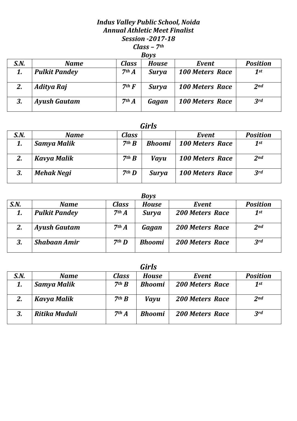### *Indus Valley Public School, Noida Annual Athletic Meet Finalist Session -2017-18 Class – 7th Boys*

|      | DUVJ                 |                   |              |                        |                 |  |  |  |  |
|------|----------------------|-------------------|--------------|------------------------|-----------------|--|--|--|--|
| S.N. | <b>Name</b>          | <b>Class</b>      | <b>House</b> | Event                  | <b>Position</b> |  |  |  |  |
| 1.   | <b>Pulkit Pandey</b> | 7 <sup>th</sup> A | <b>Surya</b> | <b>100 Meters Race</b> | $1^{st}$        |  |  |  |  |
| 2.   | <b>Aditya Raj</b>    | $7th$ F           | <b>Surya</b> | <b>100 Meters Race</b> | 2 <sub>nd</sub> |  |  |  |  |
| 3.   | <b>Ayush Gautam</b>  | 7 <sup>th</sup> A | Gagan        | <b>100 Meters Race</b> | 3 <sup>rd</sup> |  |  |  |  |

# *Girls*

| S.N. | <b>Name</b>       | <b>Class</b>      |               | Event                  | <b>Position</b> |
|------|-------------------|-------------------|---------------|------------------------|-----------------|
|      | Samya Malik       | 7 <sup>th</sup> B | <b>Bhoomi</b> | <b>100 Meters Race</b> | 1st             |
| 2.   | Kavya Malik       | 7 <sup>th</sup> B | <b>Vayu</b>   | <b>100 Meters Race</b> | 2 <sub>nd</sub> |
| 3.   | <b>Mehak Negi</b> | 7 <sup>th</sup> D | <b>Surya</b>  | <b>100 Meters Race</b> | 3rd             |

|      | <b>Boys</b>          |                   |               |                        |                 |  |  |  |  |  |
|------|----------------------|-------------------|---------------|------------------------|-----------------|--|--|--|--|--|
| S.N. | <b>Name</b>          | <b>Class</b>      | <b>House</b>  | Event                  | <b>Position</b> |  |  |  |  |  |
| 1.   | <b>Pulkit Pandey</b> | 7 <sup>th</sup> A | <b>Surya</b>  | <b>200 Meters Race</b> | $1$ st          |  |  |  |  |  |
| 2.   | <b>Ayush Gautam</b>  | 7 <sup>th</sup> A | Gagan         | <b>200 Meters Race</b> | 2 <sub>nd</sub> |  |  |  |  |  |
| 3.   | <b>Shabaan Amir</b>  | 7 <sup>th</sup> D | <b>Bhoomi</b> | <b>200 Meters Race</b> | 3rd             |  |  |  |  |  |

|      | Girls         |                   |               |                        |                 |  |  |  |  |  |
|------|---------------|-------------------|---------------|------------------------|-----------------|--|--|--|--|--|
| S.N. | <b>Name</b>   | <b>Class</b>      | <b>House</b>  | Event                  | <b>Position</b> |  |  |  |  |  |
| 1.   | Samya Malik   | 7 <sup>th</sup> B | <b>Bhoomi</b> | <b>200 Meters Race</b> | $1$ st          |  |  |  |  |  |
|      | Kavya Malik   | 7 <sup>th</sup> B | <b>Vayu</b>   | <b>200 Meters Race</b> | 2 <sub>nd</sub> |  |  |  |  |  |
| З.   | Ritika Muduli | 7 <sup>th</sup> A | <b>Bhoomi</b> | <b>200 Meters Race</b> | 3rd             |  |  |  |  |  |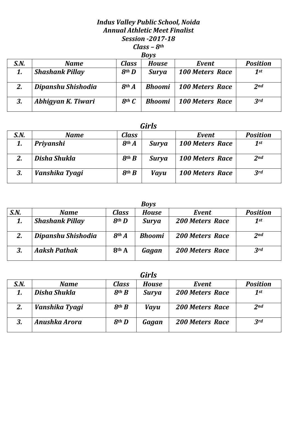## *Indus Valley Public School, Noida Annual Athletic Meet Finalist Session -2017-18 Class – 8th Boys*

|      | 20 V V                 |                   |               |                        |                 |  |  |  |  |
|------|------------------------|-------------------|---------------|------------------------|-----------------|--|--|--|--|
| S.N. | <b>Name</b>            | <b>Class</b>      | House         | Event                  | <b>Position</b> |  |  |  |  |
|      | <b>Shashank Pillay</b> | 8 <sup>th</sup> D | <b>Surya</b>  | <b>100 Meters Race</b> | 1st             |  |  |  |  |
|      | Dipanshu Shishodia     | 8 <sup>th</sup> A | <b>Bhoomi</b> | <b>100 Meters Race</b> | 2 <sub>nd</sub> |  |  |  |  |
| 3.   | Abhigyan K. Tiwari     | $8th$ $C$         | <b>Bhoomi</b> | <b>100 Meters Race</b> | 3rd             |  |  |  |  |

| S.N. | <b>Name</b>    | Class                 |              | Event                  | <b>Position</b> |
|------|----------------|-----------------------|--------------|------------------------|-----------------|
|      | Priyanshi      | 8 <sup>th</sup> A     | <b>Surya</b> | <b>100 Meters Race</b> | 1st             |
|      | Disha Shukla   | $8$ <sup>th</sup> $B$ | <b>Surya</b> | <b>100 Meters Race</b> | 2 <sub>nd</sub> |
| 3.   | Vanshika Tyagi | $8$ <sup>th</sup> $B$ | <b>Vayu</b>  | <b>100 Meters Race</b> | 3rd             |

|      | <b>Boys</b>            |                   |               |                        |                 |  |  |  |  |  |
|------|------------------------|-------------------|---------------|------------------------|-----------------|--|--|--|--|--|
| S.N. | <b>Name</b>            | <b>Class</b>      | <b>House</b>  | Event                  | <b>Position</b> |  |  |  |  |  |
| 1.   | <b>Shashank Pillay</b> | 8 <sup>th</sup> D | Surya         | <b>200 Meters Race</b> | 1st             |  |  |  |  |  |
| 2.   | Dipanshu Shishodia     | 8 <sup>th</sup> A | <b>Bhoomi</b> | <b>200 Meters Race</b> | 2 <sub>nd</sub> |  |  |  |  |  |
|      | <b>Aaksh Pathak</b>    | 8th A             | Gagan         | <b>200 Meters Race</b> | 3rd             |  |  |  |  |  |

|      |                |                   | <b>Girls</b> |                        |                 |
|------|----------------|-------------------|--------------|------------------------|-----------------|
| S.N. | <b>Name</b>    | <b>Class</b>      | <b>House</b> | Event                  | <b>Position</b> |
|      | Disha Shukla   | 8 <sup>th</sup> B | <b>Surya</b> | <b>200 Meters Race</b> | 1st             |
|      | Vanshika Tyagi | $8$ th $B$        | <b>Vayu</b>  | <b>200 Meters Race</b> | 2 <sub>nd</sub> |
| 3.   | Anushka Arora  | 8 <sup>th</sup> D | Gagan        | <b>200 Meters Race</b> | 3rd             |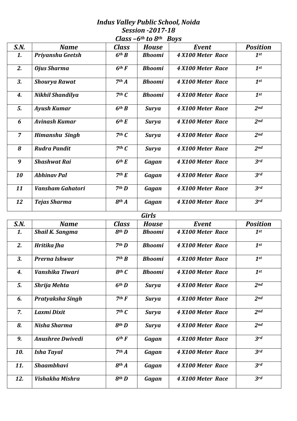## *Indus Valley Public School, Noida Session -2017-18 Class –6th to 8th Boys*

|                |                         | uuw                   | $\boldsymbol{\mathsf{u}}$ $\boldsymbol{\mathsf{v}}$ | na ya             |                 |
|----------------|-------------------------|-----------------------|-----------------------------------------------------|-------------------|-----------------|
| S.N.           | <b>Name</b>             | Class                 | <b>House</b>                                        | Event             | <b>Position</b> |
| 1.             | Priyanshu Geetsh        | 6 <sup>th</sup> B     | <b>Bhoomi</b>                                       | 4 X100 Meter Race | 1st             |
| 2.             | <b>Ojus Sharma</b>      | $6th$ F               | <b>Bhoomi</b>                                       | 4 X100 Meter Race | $1$ st          |
| 3.             | <b>Shourya Rawat</b>    | 7 <sup>th</sup> A     | <b>Bhoomi</b>                                       | 4 X100 Meter Race | $1$ st          |
| 4.             | Nikhil Shandilya        | $7th$ $C$             | <b>Bhoomi</b>                                       | 4 X100 Meter Race | $1$ st          |
| 5.             | <b>Ayush Kumar</b>      | 6 <sup>th</sup> B     | <b>Surya</b>                                        | 4 X100 Meter Race | 2 <sub>nd</sub> |
| 6              | <b>Avinash Kumar</b>    | 6 <sup>th</sup> E     | <b>Surya</b>                                        | 4 X100 Meter Race | 2 <sub>nd</sub> |
| $\overline{z}$ | <b>Himanshu Singh</b>   | $7th$ $C$             | <b>Surya</b>                                        | 4 X100 Meter Race | 2 <sub>nd</sub> |
| 8              | <b>Rudra Pandit</b>     | $7th$ $C$             | <b>Surya</b>                                        | 4 X100 Meter Race | 2 <sub>nd</sub> |
| 9              | <b>Shashwat Rai</b>     | 6 <sup>th</sup> E     | Gagan                                               | 4 X100 Meter Race | 3rd             |
| 10             | <b>Abhinav Pal</b>      | 7 <sup>th</sup> E     | Gagan                                               | 4 X100 Meter Race | 3rd             |
| 11             | <b>Vansham Gahatori</b> | 7 <sup>th</sup> D     | Gagan                                               | 4 X100 Meter Race | 3rd             |
| 12             | <b>Tejas Sharma</b>     | 8 <sup>th</sup> A     | Gagan                                               | 4 X100 Meter Race | 3rd             |
|                |                         |                       | <b>Girls</b>                                        |                   |                 |
| S.N.           | <b>Name</b>             | <b>Class</b>          | <b>House</b>                                        | Event             | <b>Position</b> |
| 1.             | <b>Shail K. Sangma</b>  | 8 <sup>th</sup> D     | <b>Bhoomi</b>                                       | 4 X100 Meter Race | $1^{st}$        |
|                |                         |                       |                                                     |                   |                 |
| 2.             | Hritika Jha             | 7 <sup>th</sup> D     | <b>Bhoomi</b>                                       | 4 X100 Meter Race | $1$ st          |
| 3.             | Prerna Ishwar           | 7 <sup>th</sup> B     | <b>Bhoomi</b>                                       | 4 X100 Meter Race | $1$ st          |
| 4.             | Vanshika Tiwari         | $8th$ $C$             | <b>Bhoomi</b>                                       | 4 X100 Meter Race | $1^{st}$        |
| 5.             | Shrija Mehta            | 6 <sup>th</sup> D     | <b>Surya</b>                                        | 4 X100 Meter Race | 2nd             |
| 6.             | Pratyaksha Singh        | $7th$ $F$             | <b>Surya</b>                                        | 4 X100 Meter Race | 2nd             |
| 7.             | Laxmi Dixit             | 7 <sup>th</sup> C     | <b>Surya</b>                                        | 4 X100 Meter Race | 2nd             |
| 8.             | Nisha Sharma            | $8$ <sup>th</sup> $D$ | <b>Surya</b>                                        | 4 X100 Meter Race | 2nd             |
| 9.             | <b>Anushree Dwivedi</b> | $6th$ F               | Gagan                                               | 4 X100 Meter Race | 3rd             |
| 10.            | <b>Isha Tayal</b>       | 7 <sup>th</sup> A     | Gagan                                               | 4 X100 Meter Race | 3rd             |
| 11.            | <b>Shaambhavi</b>       | 8 <sup>th</sup> A     | Gagan                                               | 4 X100 Meter Race | 3rd             |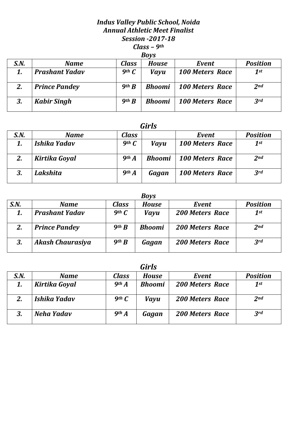### *Indus Valley Public School, Noida Annual Athletic Meet Finalist Session -2017-18 Class – 9th Boys*

|      | <b>DUVJ</b>           |                   |               |                        |                 |  |  |  |  |  |
|------|-----------------------|-------------------|---------------|------------------------|-----------------|--|--|--|--|--|
| S.N. | <b>Name</b>           | Class             | House         | Event                  | <b>Position</b> |  |  |  |  |  |
|      | <b>Prashant Yadav</b> | $9$ th $C$        | <b>Vayu</b>   | <b>100 Meters Race</b> | 1st             |  |  |  |  |  |
| 2.   | <b>Prince Pandey</b>  | $9$ th $B$        | <b>Bhoomi</b> | <b>100 Meters Race</b> | 2 <sub>nd</sub> |  |  |  |  |  |
| 3.   | <b>Kabir Singh</b>    | 9 <sup>th</sup> B | <b>Bhoomi</b> | <b>100 Meters Race</b> | 3 <sup>rd</sup> |  |  |  |  |  |

# *Girls*

| S.N. | <b>Name</b>   | Class             |               | Event                  | <b>Position</b> |
|------|---------------|-------------------|---------------|------------------------|-----------------|
|      | Ishika Yadav  | $9th$ $C$         | Vayu          | <b>100 Meters Race</b> | 1st             |
| 2.   | Kirtika Goyal | 9 <sup>th</sup> A | <b>Bhoomi</b> | <b>100 Meters Race</b> | 2 <sub>nd</sub> |
| 3.   | Lakshita      | 9 <sup>th</sup> A | Gagan         | <b>100 Meters Race</b> | 3rd             |

| <b>Boys</b> |                         |                               |               |                        |                 |  |  |  |  |
|-------------|-------------------------|-------------------------------|---------------|------------------------|-----------------|--|--|--|--|
| S.N.        | <b>Name</b>             | <b>Class</b>                  | <b>House</b>  | Event                  | <b>Position</b> |  |  |  |  |
| 1.          | <b>Prashant Yadav</b>   | 9 <sup>th</sup> $\mathcal{C}$ | Vayu          | <b>200 Meters Race</b> | $1$ st          |  |  |  |  |
| 2.          | <b>Prince Pandey</b>    | 9 <sup>th</sup> B             | <b>Bhoomi</b> | <b>200 Meters Race</b> | 2 <sub>nd</sub> |  |  |  |  |
| 3.          | <b>Akash Chaurasiya</b> | 9 <sup>th</sup> B             | Gagan         | <b>200 Meters Race</b> | 3rd             |  |  |  |  |

|      | Girls         |                   |               |                        |                 |  |  |  |  |  |
|------|---------------|-------------------|---------------|------------------------|-----------------|--|--|--|--|--|
| S.N. | <b>Name</b>   | <b>Class</b>      | <b>House</b>  | Event                  | <b>Position</b> |  |  |  |  |  |
| 1.   | Kirtika Goyal | 9 <sup>th</sup> A | <b>Bhoomi</b> | <b>200 Meters Race</b> | $1$ st          |  |  |  |  |  |
| 2.   | Ishika Yadav  | $9th$ $C$         | <b>Vayu</b>   | <b>200 Meters Race</b> | 2 <sub>nd</sub> |  |  |  |  |  |
|      | Neha Yadav    | 9 <sup>th</sup> A | Gagan         | <b>200 Meters Race</b> | 3rd             |  |  |  |  |  |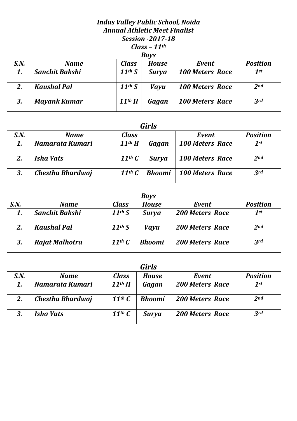## *Indus Valley Public School, Noida Annual Athletic Meet Finalist Session -2017-18 Class – 11th Boys*

| - 27 |                       |                        |              |                        |                 |  |  |  |
|------|-----------------------|------------------------|--------------|------------------------|-----------------|--|--|--|
| S.N. | <b>Name</b>           | Class                  | <b>House</b> | Event                  | <b>Position</b> |  |  |  |
|      | <b>Sanchit Bakshi</b> | $11^{th} S$            | <b>Surya</b> | <b>100 Meters Race</b> | 1st             |  |  |  |
|      | <b>Kaushal Pal</b>    | 11 <sup>th</sup> S     | <b>Vayu</b>  | <b>100 Meters Race</b> | 2 <sub>nd</sub> |  |  |  |
| 3.   | <b>Mayank Kumar</b>   | $11$ <sup>th</sup> $H$ | Gagan        | <b>100 Meters Race</b> | 3rd             |  |  |  |

| S.N. | <b>Name</b>      | <b>Class</b>                   |               | Event                  | <b>Position</b> |
|------|------------------|--------------------------------|---------------|------------------------|-----------------|
|      | Namarata Kumari  | $11$ <sup>th</sup> $H$         | Gagan         | <b>100 Meters Race</b> | 1st             |
| 2.   | Isha Vats        | 11 <sup>th</sup> $\mathcal C$  | <b>Surya</b>  | <b>100 Meters Race</b> | 2 <sub>nd</sub> |
|      | Chestha Bhardwaj | 11 <sup>th</sup> $\mathcal{C}$ | <b>Bhoomi</b> | <b>100 Meters Race</b> | 3rd             |

|      | <b>Boys</b>           |                                |               |                        |                 |  |  |  |  |  |
|------|-----------------------|--------------------------------|---------------|------------------------|-----------------|--|--|--|--|--|
| S.N. | <b>Name</b>           | <b>Class</b>                   | <b>House</b>  | Event                  | <b>Position</b> |  |  |  |  |  |
|      | <b>Sanchit Bakshi</b> | 11 <sup>th</sup> S             | <b>Surya</b>  | <b>200 Meters Race</b> | 1st             |  |  |  |  |  |
|      | <b>Kaushal Pal</b>    | 11 <sup>th</sup> S             | <b>Vayu</b>   | <b>200 Meters Race</b> | 2 <sub>nd</sub> |  |  |  |  |  |
| 3.   | Rajat Malhotra        | 11 <sup>th</sup> $\mathcal{C}$ | <b>Bhoomi</b> | <b>200 Meters Race</b> | 3rd             |  |  |  |  |  |

| <b>Girls</b> |                  |                                |               |                        |                 |  |  |  |
|--------------|------------------|--------------------------------|---------------|------------------------|-----------------|--|--|--|
| S.N.         | <b>Name</b>      | <b>Class</b>                   | <b>House</b>  | Event                  | <b>Position</b> |  |  |  |
|              | Namarata Kumari  | $11$ <sup>th</sup> $H$         | Gagan         | <b>200 Meters Race</b> | 1st             |  |  |  |
|              | Chestha Bhardwaj | 11 <sup>th</sup> $\mathcal{C}$ | <b>Bhoomi</b> | <b>200 Meters Race</b> | 2 <sub>nd</sub> |  |  |  |
|              | <b>Isha Vats</b> | 11 <sup>th</sup> $\mathcal C$  | <b>Surya</b>  | <b>200 Meters Race</b> | 3rd             |  |  |  |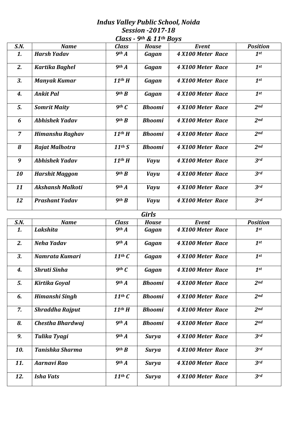### *Indus Valley Public School, Noida Session -2017-18 Class - 9th & 11th Boys*

| S.N.           | <b>Name</b>                    | <b>Class</b>                      | <b>House</b>          | Event             | <b>Position</b>           |
|----------------|--------------------------------|-----------------------------------|-----------------------|-------------------|---------------------------|
| 1.             | <b>Harsh Yadav</b>             | 9 <sup>th</sup> A                 | Gagan                 | 4 X100 Meter Race | $1$ st                    |
| 2.             | Kartika Baghel                 | 9 <sup>th</sup> A                 | Gagan                 | 4 X100 Meter Race | $1^{st}$                  |
| 3.             | <b>Manyak Kumar</b>            | $11$ <sup>th</sup> $H$            | Gagan                 | 4 X100 Meter Race | $1$ st                    |
| 4.             | <b>Ankit Pal</b>               | $9$ th $B$                        | Gagan                 | 4 X100 Meter Race | $1$ st                    |
| 5.             | <b>Somrit Maity</b>            | $9th$ $C$                         | <b>Bhoomi</b>         | 4 X100 Meter Race | 2 <sub>nd</sub>           |
| 6              | <b>Abhishek Yadav</b>          | $9$ th $B$                        | <b>Bhoomi</b>         | 4 X100 Meter Race | 2nd                       |
| $\overline{7}$ | <b>Himanshu Raghav</b>         | $11$ <sup>th</sup> $H$            | <b>Bhoomi</b>         | 4 X100 Meter Race | 2 <sub>nd</sub>           |
| 8              | Rajat Malhotra                 | 11 <sup>th</sup> S                | <b>Bhoomi</b>         | 4 X100 Meter Race | 2nd                       |
| 9              | <b>Abhishek Yadav</b>          | $11$ <sup>th</sup> $H$            | <b>Vayu</b>           | 4 X100 Meter Race | 3rd                       |
| 10             | <b>Harshit Maggon</b>          | 9 <sup>th</sup> B                 | <b>Vayu</b>           | 4 X100 Meter Race | 3rd                       |
| 11             | <b>Akshansh Malkoti</b>        | 9 <sup>th</sup> A                 | <b>Vayu</b>           | 4 X100 Meter Race | 3rd                       |
| 12             | <b>Prashant Yadav</b>          | $9$ th $B$                        | <b>Vayu</b>           | 4 X100 Meter Race | 3rd                       |
|                |                                |                                   |                       |                   |                           |
|                |                                |                                   |                       |                   |                           |
|                |                                |                                   | <b>Girls</b>          | Event             |                           |
| S.N.<br>1.     | <b>Name</b><br><b>Lakshita</b> | <b>Class</b><br>9 <sup>th</sup> A | <b>House</b><br>Gagan | 4 X100 Meter Race | <b>Position</b><br>$1$ st |
| 2.             | <b>Neha Yadav</b>              | 9 <sup>th</sup> A                 | Gagan                 | 4 X100 Meter Race | $1$ st                    |
| 3.             | Namrata Kumari                 | $11$ <sup>th</sup> $C$            | Gagan                 | 4 X100 Meter Race | $1^{st}$                  |
| 4.             | <b>Shruti Sinha</b>            | $9th$ $C$                         | Gagan                 | 4 X100 Meter Race | $1^{st}$                  |
| 5.             | Kirtika Goyal                  | 9 <sup>th</sup> A                 | <b>Bhoomi</b>         | 4 X100 Meter Race | 2nd                       |
| 6.             | <b>Himanshi Singh</b>          | $11$ <sup>th</sup> $C$            | <b>Bhoomi</b>         | 4 X100 Meter Race | 2nd                       |
| 7.             | <b>Shraddha Rajput</b>         | $11$ <sup>th</sup> $H$            | <b>Bhoomi</b>         | 4 X100 Meter Race | 2nd                       |
| 8.             | Chestha Bhardwaj               | 9 <sup>th</sup> A                 | <b>Bhoomi</b>         | 4 X100 Meter Race | 2nd                       |
| 9.             | Tulika Tyagi                   | 9 <sup>th</sup> A                 | <b>Surya</b>          | 4 X100 Meter Race | 3rd                       |
| 10.            | <b>Tanishka Sharma</b>         | 9 <sup>th</sup> B                 | <b>Surya</b>          | 4 X100 Meter Race | 3rd                       |
| 11.            | <b>Aarnavi Rao</b>             | 9 <sup>th</sup> A                 | <b>Surya</b>          | 4 X100 Meter Race | 3rd                       |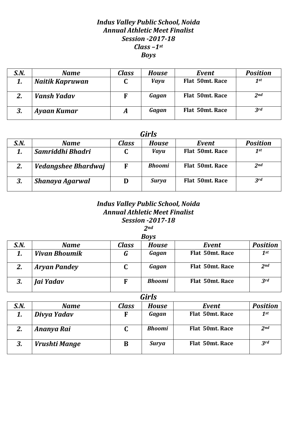# *Indus Valley Public School, Noida Annual Athletic Meet Finalist Session -2017-18 Class –1st Boys*

| S.N.    | <b>Name</b>     | <b>Class</b> | <b>House</b> | Event           | <b>Position</b> |
|---------|-----------------|--------------|--------------|-----------------|-----------------|
| 1.      | Naitik Kapruwan | u            | <b>Vayu</b>  | Flat 50mt. Race | $1$ st          |
|         | Vansh Yadav     | F            | Gagan        | Flat 50mt. Race | 2 <sub>nd</sub> |
| כ<br>J, | Ayaan Kumar     | A            | Gagan        | Flat 50mt. Race | 3rd             |

#### *Girls*

| S.N. | Name                | Class | <b>House</b>  | Event           | <b>Position</b> |
|------|---------------------|-------|---------------|-----------------|-----------------|
|      | Samriddhi Bhadri    |       | <b>Vayu</b>   | Flat 50mt. Race | 1st             |
| 2.   | Vedangshee Bhardwaj | F     | <b>Bhoomi</b> | Flat 50mt. Race | 2 <sub>nd</sub> |
| 3.   | Shanaya Agarwal     | D     | <b>Surya</b>  | Flat 50mt. Race | 3rd             |

# *Indus Valley Public School, Noida Annual Athletic Meet Finalist Session -2017-18*

*2nd*

| <b>Boys</b> |                      |              |               |                 |                 |  |  |  |  |
|-------------|----------------------|--------------|---------------|-----------------|-----------------|--|--|--|--|
| S.N.        | <b>Name</b>          | <b>Class</b> | <b>House</b>  | Event           | <b>Position</b> |  |  |  |  |
|             | <b>Vivan Bhoumik</b> | G            | Gagan         | Flat 50mt. Race | $1$ st          |  |  |  |  |
| 2.          | <b>Aryan Pandey</b>  |              | Gagan         | Flat 50mt. Race | 2 <sub>nd</sub> |  |  |  |  |
| 3.          | Jai Yadav            | F            | <b>Bhoomi</b> | Flat 50mt. Race | 3rd             |  |  |  |  |

| S.N. | <b>Name</b>   | <b>Class</b> | House         | Event           | <b>Position</b> |
|------|---------------|--------------|---------------|-----------------|-----------------|
|      | Divya Yadav   | F            | Gagan         | Flat 50mt. Race | $1^{st}$        |
|      | Ananya Rai    | C            | <b>Bhoomi</b> | Flat 50mt. Race | 2 <sub>nd</sub> |
| 3.   | Vrushti Mange | B            | <b>Surya</b>  | Flat 50mt. Race | 3rd             |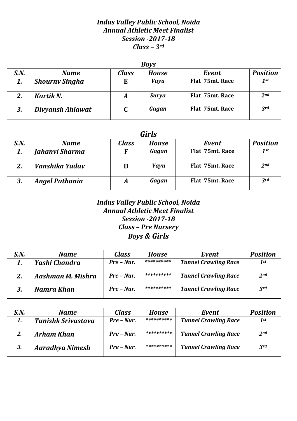## *Indus Valley Public School, Noida Annual Athletic Meet Finalist Session -2017-18 Class – 3rd*

|      | <b>Boys</b>           |              |              |                 |                 |  |  |  |  |
|------|-----------------------|--------------|--------------|-----------------|-----------------|--|--|--|--|
| S.N. | <b>Name</b>           | <b>Class</b> | <b>House</b> | Event           | <b>Position</b> |  |  |  |  |
| 1.   | <b>Shourny Singha</b> | E            | <b>Vayu</b>  | Flat 75mt. Race | $1$ st          |  |  |  |  |
|      | Kartik N.             | A            | <b>Surya</b> | Flat 75mt. Race | 2 <sub>nd</sub> |  |  |  |  |
| 3.   | Divyansh Ahlawat      |              | Gagan        | Flat 75mt. Race | 3rd             |  |  |  |  |

#### *Girls*

| S.N. | <b>Name</b>           | <b>Class</b> | <b>House</b> | Event           | <b>Position</b> |
|------|-----------------------|--------------|--------------|-----------------|-----------------|
|      | Jahanvi Sharma        | F            | Gagan        | Flat 75mt. Race | 1st             |
|      | Vanshika Yadav        |              | Vayu         | Flat 75mt. Race | 2 <sub>nd</sub> |
| 3.   | <b>Angel Pathania</b> |              | Gagan        | Flat 75mt. Race | 3rd             |

# *Indus Valley Public School, Noida Annual Athletic Meet Finalist Session -2017-18 Class – Pre Nursery Boys & Girls*

| S.N. | <b>Name</b>       | <b>Class</b>  | House      | Event                       | <b>Position</b> |
|------|-------------------|---------------|------------|-----------------------------|-----------------|
|      | Yashi Chandra     | $Pre - Nur$ . | ********** | <b>Tunnel Crawling Race</b> | $1^{st}$        |
|      | Aashman M. Mishra | $Pre - Nur$ . | ********** | <b>Tunnel Crawling Race</b> | 2 <sub>nd</sub> |
|      | Namra Khan        | $Pre - Nur.$  | ********** | <b>Tunnel Crawling Race</b> | 3rd             |

| S.N. | <b>Name</b>               | <b>Class</b>  | <b>House</b> | Event                       | <b>Position</b> |
|------|---------------------------|---------------|--------------|-----------------------------|-----------------|
|      | <b>Tanishk Srivastava</b> | Pre – Nur.    | **********   | <b>Tunnel Crawling Race</b> | $1$ st          |
|      | <b>Arham Khan</b>         | $Pre - Nur$ . | **********   | <b>Tunnel Crawling Race</b> | 2 <sub>nd</sub> |
| 3.   | <b>Aaradhya Nimesh</b>    | $Pre - Nur.$  | **********   | <b>Tunnel Crawling Race</b> | 3rd             |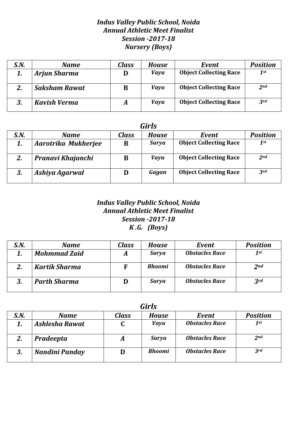# *Indus Valley Public School, Noida Annual Athletic Meet Finalist Session -2017-18 Nursery (Boys)*

| S.N. | Name                 | Class | House       | Event                         | <b>Position</b> |
|------|----------------------|-------|-------------|-------------------------------|-----------------|
| 1.   | <b>Arjun Sharma</b>  |       | <b>Vayu</b> | <b>Object Collecting Race</b> | 1st             |
| 2.   | <b>Saksham Rawat</b> | B     | <b>Vayu</b> | <b>Object Collecting Race</b> | 2 <sub>nd</sub> |
| 3.   | <b>Kavish Verma</b>  | A     | <b>Vayu</b> | <b>Object Collecting Race</b> | 3rd             |

| <b>Girls</b> |                     |              |              |                               |          |  |  |  |
|--------------|---------------------|--------------|--------------|-------------------------------|----------|--|--|--|
| S.N.         | <b>Name</b>         | <b>Class</b> | <b>House</b> | Event                         | Position |  |  |  |
| 1.           | Aarotrika Mukherjee | B            | Surya        | <b>Object Collecting Race</b> | 1st      |  |  |  |
| 2.           | Pranavi Khajanchi   | B            | <b>Vayu</b>  | <b>Object Collecting Race</b> | 2nd      |  |  |  |
| 3.           | Ashiya Agarwal      | D            | Gagan        | <b>Object Collecting Race</b> | 3rd      |  |  |  |

# *Indus Valley Public School, Noida Annual Athletic Meet Finalist Session -2017-18 K .G. (Boys)*

| S.N. | <b>Name</b>          | Class | <b>House</b>  | Event                 | <b>Position</b> |
|------|----------------------|-------|---------------|-----------------------|-----------------|
|      | <b>Mohmmad Zaid</b>  | A     | <b>Surya</b>  | <b>Obstacles Race</b> | 1st             |
|      | <b>Kartik Sharma</b> | F     | <b>Bhoomi</b> | <b>Obstacles Race</b> | 2 <sub>nd</sub> |
|      | <b>Parth Sharma</b>  | D     | <b>Surya</b>  | <b>Obstacles Race</b> | 3rd             |

| Girls |                |              |               |                       |                 |  |  |  |  |
|-------|----------------|--------------|---------------|-----------------------|-----------------|--|--|--|--|
| S.N.  | Name           | <b>Class</b> | <b>House</b>  | Event                 | <b>Position</b> |  |  |  |  |
|       | Ashlesha Rawat |              | <b>Vayu</b>   | <b>Obstacles Race</b> | 1st             |  |  |  |  |
| 2.    | Pradeepta      | A            | <b>Surya</b>  | <b>Obstacles Race</b> | 2 <sub>nd</sub> |  |  |  |  |
|       | Nandini Panday |              | <b>Bhoomi</b> | <b>Obstacles Race</b> | 3 <sup>rd</sup> |  |  |  |  |

*Girls*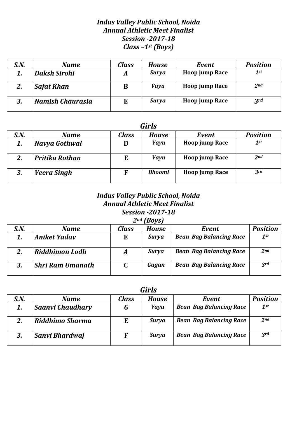## *Indus Valley Public School, Noida Annual Athletic Meet Finalist Session -2017-18 Class –1st (Boys)*

| S.N. | Name                | <b>Class</b> | House        | Event                 | <b>Position</b> |
|------|---------------------|--------------|--------------|-----------------------|-----------------|
| 1.   | <b>Daksh Sirohi</b> | A            | <b>Surya</b> | Hoop jump Race        | 1st             |
| 2.   | <b>Safat Khan</b>   | B            | <b>Vayu</b>  | Hoop jump Race        | 2 <sub>nd</sub> |
| 3.   | Namish Chaurasia    | E            | <b>Surya</b> | <b>Hoop jump Race</b> | 3 <sup>rd</sup> |

# *Girls S.N. Name Class House Event Position 1. Navya Gothwal* **D** *Vayu* **Hoop jump Race** *1st 2. Pritika Rothan* **E** *Vayu* **Hoop jump Race** *2nd 3. Veera Singh* **F** *Bhoomi* **Hoop jump Race** *3rd*

#### *Indus Valley Public School, Noida Annual Athletic Meet Finalist Session -2017-18 2nd (Boys)*

| ונטעו |                         |       |              |                                |                 |  |  |  |  |
|-------|-------------------------|-------|--------------|--------------------------------|-----------------|--|--|--|--|
| S.N.  | Name                    | Class | House        | Event                          | <b>Position</b> |  |  |  |  |
| 1.    | <b>Aniket Yadav</b>     | E     | Surya        | <b>Bean Bag Balancing Race</b> | $1$ st          |  |  |  |  |
| 2.    | Riddhiman Lodh          | A     | <b>Surya</b> | <b>Bean Bag Balancing Race</b> | 2 <sub>nd</sub> |  |  |  |  |
| 3.    | <b>Shri Ram Umanath</b> |       | Gagan        | <b>Bean Bag Balancing Race</b> | 3rd             |  |  |  |  |

*Girls*

| S.N. | <b>Name</b>             | Class | <b>House</b> | Event                          | <b>Position</b> |
|------|-------------------------|-------|--------------|--------------------------------|-----------------|
| 1.   | <b>Saanvi Chaudhary</b> | G     | <b>Vayu</b>  | <b>Bean Bag Balancing Race</b> | $1$ st          |
| 2.   | Riddhima Sharma         | E     | <b>Surya</b> | <b>Bean Bag Balancing Race</b> | 2 <sub>nd</sub> |
| 3.   | Sanvi Bhardwaj          | F     | Surya        | <b>Bean Bag Balancing Race</b> | 3rd             |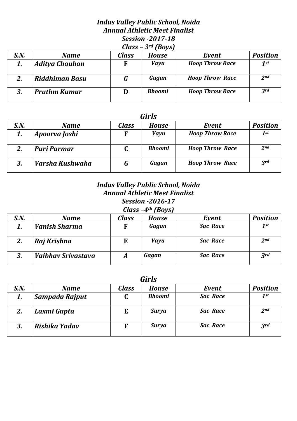# *Indus Valley Public School, Noida Annual Athletic Meet Finalist Session -2017-18 Class – 3rd (Boys)*

| S.N. | <b>Name</b>         | <b>Class</b> | <b>House</b>  | Event                  | <b>Position</b> |
|------|---------------------|--------------|---------------|------------------------|-----------------|
|      | Aditya Chauhan      | F            | <b>Vayu</b>   | <b>Hoop Throw Race</b> | 1st             |
|      | Riddhiman Basu      | G            | Gagan         | <b>Hoop Throw Race</b> | 2 <sub>nd</sub> |
|      | <b>Prathm Kumar</b> | D            | <b>Bhoomi</b> | <b>Hoop Throw Race</b> | 3rd             |

# *Girls*

| uu w |                 |       |               |                        |                 |  |  |  |
|------|-----------------|-------|---------------|------------------------|-----------------|--|--|--|
| S.N. | <b>Name</b>     | Class | <b>House</b>  | Event                  | <b>Position</b> |  |  |  |
|      | Apoorva Joshi   | F     | <b>Vayu</b>   | <b>Hoop Throw Race</b> | $1$ st          |  |  |  |
|      | Pari Parmar     |       | <b>Bhoomi</b> | <b>Hoop Throw Race</b> | 2 <sub>nd</sub> |  |  |  |
| 3.   | Varsha Kushwaha | G     | Gagan         | <b>Hoop Throw Race</b> | 3rd             |  |  |  |

### *Indus Valley Public School, Noida Annual Athletic Meet Finalist Session -2016-17 Class –4th (Boys)*

| -----<br>$1 - 0.70$ |                      |       |              |                 |                 |  |  |
|---------------------|----------------------|-------|--------------|-----------------|-----------------|--|--|
| S.N.                | Name                 | Class | <b>House</b> | Event           | <b>Position</b> |  |  |
| 1.                  | <b>Vanish Sharma</b> |       | Gagan        | <b>Sac Race</b> | $1$ st          |  |  |
| 2.                  | Raj Krishna          |       | <b>Vayu</b>  | <b>Sac Race</b> | 2 <sub>nd</sub> |  |  |
| 3.                  | Vaibhay Srivastava   | A     | Gagan        | <b>Sac Race</b> | 3rd             |  |  |

| S.N. | <b>Name</b>    | Class | <b>House</b>  | Event           | <b>Position</b> |
|------|----------------|-------|---------------|-----------------|-----------------|
|      | Sampada Rajput | u     | <b>Bhoomi</b> | <b>Sac Race</b> | $1^{st}$        |
| 2.   | Laxmi Gupta    | E     | <b>Surya</b>  | <b>Sac Race</b> | 2 <sub>nd</sub> |
| 3.   | Rishika Yadav  |       | <b>Surya</b>  | <b>Sac Race</b> | 3rd             |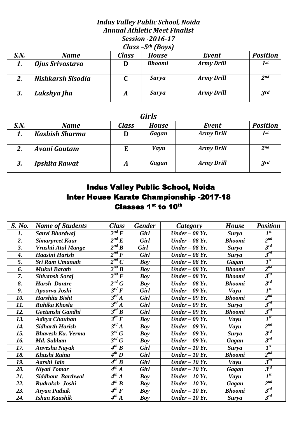# *Indus Valley Public School, Noida Annual Athletic Meet Finalist Session -2016-17 Class –5th (Boys)*

|      | $ \cdot$ , $\cdot$ , $\cdot$ |              |               |                   |                 |  |  |  |
|------|------------------------------|--------------|---------------|-------------------|-----------------|--|--|--|
| S.N. | <b>Name</b>                  | <b>Class</b> | <b>House</b>  | Event             | <b>Position</b> |  |  |  |
| 1.   | Ojus Srivastava              | D            | <b>Bhoomi</b> | <b>Army Drill</b> | $1$ st          |  |  |  |
| 2.   | Nishkarsh Sisodia            |              | <b>Surya</b>  | <b>Army Drill</b> | 2 <sub>nd</sub> |  |  |  |
| 3.   | Lakshya Jha                  | А            | <b>Surya</b>  | <b>Army Drill</b> | 3 <sup>rd</sup> |  |  |  |

# *Girls*

| uu w |                       |              |              |                   |                 |  |  |  |
|------|-----------------------|--------------|--------------|-------------------|-----------------|--|--|--|
| S.N. | <b>Name</b>           | <b>Class</b> | <b>House</b> | Event             | <b>Position</b> |  |  |  |
| 1.   | <b>Kashish Sharma</b> | D            | Gagan        | <b>Army Drill</b> | $1^{st}$        |  |  |  |
| 2.   | Avani Gautam          |              | <b>Vayu</b>  | <b>Army Drill</b> | 2 <sub>nd</sub> |  |  |  |
| 3.   | <b>Ipshita Rawat</b>  | A            | Gagan        | <b>Army Drill</b> | 3rd             |  |  |  |

# **Indus Valley Public School, Noida** Inter House Karate Championship -2017-18 Classes 1<sup>st</sup> to 10<sup>th</sup>

| S. No.             | <b>Name of Students</b>  | <b>Class</b>                       | <b>Gender</b> | Category        | House         | <b>Position</b> |
|--------------------|--------------------------|------------------------------------|---------------|-----------------|---------------|-----------------|
| 1.                 | Sanvi Bhardwaj           | $2^{nd} F$                         | <b>Girl</b>   | $Under-08$ Yr.  | <b>Surya</b>  | $I^{st}$        |
| 2.                 | <b>Simarpreet Kaur</b>   | $2^{nd} E$                         | <b>Girl</b>   | Under $-08$ Yr. | <b>Bhoomi</b> | $2^{nd}$        |
| 3.                 | Vrushti Atul Mange       | $2^{nd} B$                         | <b>Girl</b>   | Under $-08$ Yr. | <b>Surya</b>  | $3^{rd}$        |
| $\boldsymbol{4}$ . | Haasini Harish           | $\overline{2^{nd}F}$               | <b>Girl</b>   | Under $-08$ Yr. | <b>Surya</b>  | $3^{rd}$        |
| 5.                 | <b>Sri Ram Umanath</b>   | $\overline{2^{nd}\,C}$             | <b>Boy</b>    | Under $-08$ Yr. | <b>Gagan</b>  | $I^{st}$        |
| 6.                 | <b>Mukul Barath</b>      | $2^{nd} B$                         | <b>Boy</b>    | Under $-08$ Yr. | <b>Bhoomi</b> | $2^{nd}$        |
| 7.                 | <b>Shivansh Soraj</b>    | $2^{nd} F$                         | <b>Boy</b>    | $Under-08$ Yr.  | <b>Bhoomi</b> | $3^{rd}$        |
| 8.                 | <b>Harsh Dantre</b>      | $2^{nd} G$                         | <b>Boy</b>    | Under $-08$ Yr. | <b>Bhoomi</b> | $3^{rd}$        |
| 9.                 | Apoorva Joshi            | $3^{rd}F$                          | <b>Girl</b>   | $Under-09$ Yr.  | Vayu          | $I^{st}$        |
| 10.                | Harshita Bisht           | $3^{rd} A$                         | <b>Girl</b>   | Under $-09$ Yr. | <b>Bhoomi</b> | $2^{nd}$        |
| 11.                | Ruhika Khosla            | $3^{rd} A$                         | <b>Girl</b>   | Under $-09$ Yr. | <b>Surya</b>  | $3^{rd}$        |
| 12.                | Geetanshi Gandhi         | $3^{rd}B$                          | <b>Girl</b>   | Under $-09$ Yr. | <b>Bhoomi</b> | $3^{rd}$        |
| 13.                | <b>Aditya Chauhan</b>    | $3^{rd}F$                          | <b>Boy</b>    | Under $-09$ Yr. | Vayu          | $I^{st}$        |
| 14.                | <b>Sidharth Harish</b>   | $3^{rd} A$                         | <b>Boy</b>    | Under $-09$ Yr. | Vayu          | $2^{nd}$        |
| 15.                | <b>Bhavesh Ku. Verma</b> | $3^{rd} G$                         | <b>Boy</b>    | $Under-09$ Yr.  | <b>Surya</b>  | $3^{rd}$        |
| 16.                | Md. Subhan               | $3^{rd} G$                         | <b>Boy</b>    | Under $-09$ Yr. | Gagan         | $3^{rd}$        |
| 17.                | <b>Anvesha Nayak</b>     | $\overline{4^{th}B}$               | <b>Girl</b>   | Under $-10$ Yr. | <b>Surya</b>  | $I^{st}$        |
| 18.                | Khushi Raina             | $\overline{4^{th}D}$               | <b>Girl</b>   | Under $-10$ Yr. | <b>Bhoomi</b> | $2^{nd}$        |
| 19.                | Aarshi Jain              | $\overline{4^{th}B}$               | <b>Girl</b>   | Under $-10$ Yr. | Vayu          | $3^{rd}$        |
| 20.                | Niyati Tomar             | $\boldsymbol{4}^{th}$ $A$          | <b>Girl</b>   | Under $-10$ Yr. | <b>Gagan</b>  | $3^{rd}$        |
| 21.                | <b>Siddhant Barthwal</b> | $\boldsymbol{4}^{th}$ $A$          | <b>Boy</b>    | $Under-10$ Yr.  | Vayu          | $I^{st}$        |
| 22.                | Rudraksh Joshi           | $\overline{4^{th}}$ $\overline{B}$ | <b>Boy</b>    | Under $-10$ Yr. | Gagan         | $2^{nd}$        |
| 23.                | <b>Aryan Pathak</b>      | $\overline{4^{th}F}$               | <b>Boy</b>    | Under $-10$ Yr. | <b>Bhoomi</b> | $3^{rd}$        |
| 24.                | <b>Ishan Kaushik</b>     | $\overline{4^{th}}A$               | <b>Boy</b>    | Under $-10$ Yr. | <b>Surya</b>  | $3^{rd}$        |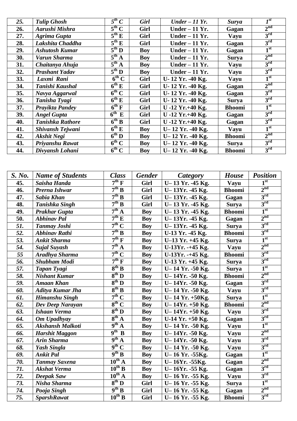| 25. | <b>Tulip Ghosh</b>      | $5^{th}$ C                      | <b>Girl</b> | $Under - 11$ Yr.     | <b>Surya</b>  | $I^{st}$        |
|-----|-------------------------|---------------------------------|-------------|----------------------|---------------|-----------------|
| 26. | Aarushi Mishra          | $5^{\text{th}}$ C               | Girl        | Under $-11$ Yr.      | Gagan         | 2 <sup>nd</sup> |
| 27. | <b>Agrima Gupta</b>     | $5^{\text{th}} E$               | Girl        | Under $-11$ Yr.      | Vayu          | 3 <sup>rd</sup> |
| 28. | Lakshita Chaddha        | $5^{\text{th}} E$               | Girl        | Under $-11$ Yr.      | Gagan         | 3 <sup>rd</sup> |
| 29. | <b>Ashutosh Kumar</b>   | $\overline{5^{th}D}$            | <b>Boy</b>  | Under $-11$ Yr.      | Gagan         | 1 <sup>st</sup> |
| 30. | Varun Sharma            | $5^{\text{th}}$ A               | <b>Boy</b>  | Under $-11$ Yr.      | <b>Surya</b>  | 2 <sup>nd</sup> |
| 31. | Chaitanya Ahuja         | $5^{\text{th}}$ A               | <b>Boy</b>  | Under $-11$ Yr.      | Vayu          | $3^{\rm rd}$    |
| 32. | <b>Prashant Yadav</b>   | $5^{\text{th}}$ D               | <b>Boy</b>  | Under $-11$ Yr.      | Vayu          | 3 <sup>rd</sup> |
| 33. | Laxmi Rani              | $\overline{6^{th}C}$            | Girl        | U-12 Yr. -40 Kg.     | Vayu          | 1 <sup>st</sup> |
| 34. | Tanishi Kaushal         | $\overline{6^{th}E}$            | Girl        | U-12 Yr. -40 Kg.     | Gagan         | 2 <sup>nd</sup> |
| 35. | Navya Aggarwal          | $\overline{6^{th}}$ C           | Girl        | U-12 Yr. -40 Kg.     | Gagan         | $3^{\rm rd}$    |
| 36. | Tanisha Tyagi           | $\overline{6^{th}E}$            | Girl        | U-12 Yr. -40 Kg.     | <b>Surya</b>  | $3^{\rm rd}$    |
| 37. | Prayikta Pandey         | $6^{th}$ F                      | Girl        | $U - 12$ Yr. +40 Kg. | <b>Bhoomi</b> | 1 <sup>st</sup> |
| 39. | <b>Angel Gupta</b>      | $6^{\overline{\text{th}}}$<br>E | Girl        | $U - 12$ Yr. +40 Kg. | Gagan         | 3 <sup>rd</sup> |
| 40. | <b>Tanishka Rathore</b> | $6^{th} B$                      | Girl        | U-12 Yr.+40 Kg.      | Gagan         | 3 <sup>rd</sup> |
| 41. | Shivansh Tejwani        | $\overline{6^{th}}$ E           | Boy         | U-12 Yr. -40 Kg.     | <b>Vayu</b>   | 1 <sup>st</sup> |
| 42. | <b>Akshit Negi</b>      | $\overline{6^{th}}$ D           | Boy         | U-12 Yr. -40 Kg.     | <b>Bhoomi</b> | 2 <sup>nd</sup> |
| 43. | Priyanshu Rawat         | $\overline{6^{th}C}$            | <b>Boy</b>  | U-12 Yr. -40 Kg.     | <b>Surya</b>  | 3 <sup>rd</sup> |
| 44. | Divyansh Lohani         | $6^{th}$ C                      | <b>Boy</b>  | U-12 Yr. -40 Kg.     | <b>Bhoomi</b> | 3 <sup>rd</sup> |

| S. No. | <b>Name of Students</b> | <b>Class</b>             | <b>Gender</b> | <b>Category</b>   | House         | <b>Position</b> |
|--------|-------------------------|--------------------------|---------------|-------------------|---------------|-----------------|
| 45.    | Saisha Handa            | $7^{\rm th}$ F           | Girl          | U-13 Yr. -45 Kg.  | Vayu          | 1 <sup>st</sup> |
| 46.    | Prerna Ishwar           | 7 <sup>th</sup> B        | Girl          | U-13Yr. -45 Kg.   | <b>Bhoomi</b> | 2 <sup>nd</sup> |
| 47.    | <b>Sabia Khan</b>       | 7 <sup>th</sup> B        | Girl          | U-13Yr. -45 Kg.   | Gagan         | 3 <sup>rd</sup> |
| 48.    | <b>Tanishka Singh</b>   | $7th$ B                  | Girl          | U-13 Yr. -45 Kg.  | <b>Surya</b>  | 3 <sup>rd</sup> |
| 49.    | <b>Prakhar Gupta</b>    | $7^{th}$ A               | <b>Boy</b>    | U-13 Yr. -45 Kg.  | <b>Bhoomi</b> | 1 <sup>st</sup> |
| 50.    | <b>Abhinav Pal</b>      | $7^{\text{th}}$ E        | <b>Boy</b>    | U-13Yr. -45 Kg.   | Gagan         | 2 <sup>nd</sup> |
| 51.    | <b>Tanmay Joshi</b>     | $7th$ C                  | <b>Boy</b>    | U-13Yr. -45 Kg.   | <b>Surya</b>  | 3 <sup>rd</sup> |
| 52.    | <b>Abhinav Rathi</b>    | 7 <sup>th</sup> B        | <b>Boy</b>    | U-13 Yr. -45 Kg.  | <b>Bhoomi</b> | $3^{\rm rd}$    |
| 53.    | <b>Ankit Sharma</b>     | $7^{\text{th}}$ F        | <b>Boy</b>    | U-13 Yr. +45 Kg.  | <b>Surya</b>  | 1 <sup>st</sup> |
| 54.    | <b>Sujal Suyash</b>     | $7^{th}$ A               | <b>Boy</b>    | U-13Yr. -+45 Kg.  | Vayu          | 2 <sup>nd</sup> |
| 55     | Aradhya Sharma          | $7th$ C                  | <b>Boy</b>    | U-13Yr. -+45 Kg.  | <b>Bhoomi</b> | 3 <sup>rd</sup> |
| 56.    | <b>Shubham Modi</b>     | $7th$ F                  | <b>Boy</b>    | U-13 Yr. +45 Kg.  | <b>Surya</b>  | $3^{\text{rd}}$ |
| 57.    | Tapan Tyagi             | $8^{th}$ B               | <b>Boy</b>    | U-14 Yr. -50 Kg.  | <b>Surya</b>  | 1 <sup>st</sup> |
| 58.    | <b>Nishant Kumar</b>    | $8^{th}$ D               | <b>Boy</b>    | U-14Yr. -50 Kg.   | <b>Bhoomi</b> | 2 <sup>nd</sup> |
| 59.    | <b>Amaan Khan</b>       | $8^{\text{th}}$ D        | <b>Boy</b>    | U-14Yr. -50 Kg.   | Gagan         | 3 <sup>rd</sup> |
| 60.    | Aditya Kumar Jha        | $8^{th}$ B               | <b>Boy</b>    | U-14 Yr. -50 Kg.  | Vayu          | $3^{\text{rd}}$ |
| 61.    | Himanshu Singh          | $7th$ C                  | <b>Boy</b>    | U-14 Yr. +50Kg.   | <b>Surya</b>  | 1 <sup>st</sup> |
| 62.    | Dev Deep Narayan        | $8^{th}$ C               | <b>Boy</b>    | U-14Yr. $+50$ Kg. | <b>Bhoomi</b> | 2 <sup>nd</sup> |
| 63.    | Ishaan Verma            | $8^{th}$ D               | <b>Boy</b>    | U-14Yr. +50 Kg.   | <b>Vayu</b>   | 3 <sup>rd</sup> |
| 64.    | Om Upadhyay             | $8^{th}$ A               | <b>Boy</b>    | U-14 Yr. +50 Kg.  | Gagan         | 3 <sup>rd</sup> |
| 65.    | <b>Akshansh Malkoti</b> | $9^{th}$ $\underline{A}$ | <b>Boy</b>    | U-14 Yr. -50 Kg.  | Vayu          | 1 <sup>st</sup> |
| 66.    | <b>Harshit Maggon</b>   | $\overline{9^{th} B}$    | <b>Boy</b>    | U-14Yr. -50 Kg.   | Vayu          | 2 <sup>nd</sup> |
| 67.    | <b>Arin Sharma</b>      | $9^{th}$ A               | <b>Boy</b>    | U-14Yr. -50 Kg.   | Vayu          | 3 <sup>rd</sup> |
| 68.    | <b>Yash Singla</b>      | $9th$ C                  | <b>Boy</b>    | U-14 Yr. -50 Kg.  | <b>Vayu</b>   | 3 <sup>rd</sup> |
| 69.    | <b>Ankit Pal</b>        | $9^{th}$ B               | <b>Boy</b>    | U-16 Yr. -55 Kg.  | Gagan         | 1 <sup>st</sup> |
| 70.    | <b>Tanmay Saxena</b>    | $10^{th}$ A              | <b>Boy</b>    | U-16Yr. -55Kg.    | Gagan         | 2 <sup>nd</sup> |
| 71.    | <b>Akshat Verma</b>     | $10^{th}$ B              | <b>Boy</b>    | U-16Yr. -55 Kg.   | Gagan         | $3^{\rm rd}$    |
| 72.    | Deepak Saw              | $10^{th}$ A              | <b>Boy</b>    | U-16 Yr. -55 Kg.  | Vayu          | $3^{\rm rd}$    |
| 73.    | Nisha Sharma            | $8^{th}$ D               | Girl          | U-16 Yr. -55 Kg.  | <b>Surya</b>  | 1 <sup>st</sup> |
| 74.    | Pooja Singh             | $9^{th} B$               | Girl          | U-16 Yr. -55 Kg.  | Gagan         | 2 <sup>nd</sup> |
| 75.    | <b>SparshRawat</b>      | $10^{th}$ B              | Girl          | U-16 Yr. -55 Kg.  | <b>Bhoomi</b> | 3 <sup>rd</sup> |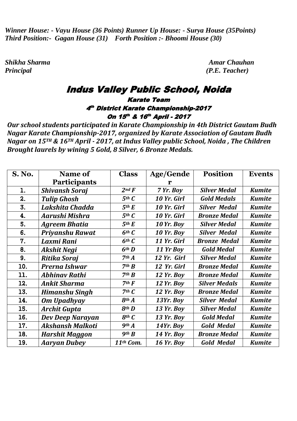*Winner House: - Vayu House (36 Points) Runner Up House: - Surya House (35Points) Third Position:- Gagan House (31) Forth Position :- Bhoomi House (30)* 

*Principal (P.E. Teacher)*

*Shikha Sharma Amar Chauhan*

# Indus Valley Public School, Noida

### Karate Team 4th District Karate Championship-2017 On 15<sup>th</sup> & 16<sup>th</sup> April - 2017

*Our school students participated in Karate Championship in 4th District Gautam Budh Nagar Karate Championship-2017, organized by Karate Association of Gautam Budh Nagar on 15TH & 16TH April - 2017, at Indus Valley public School, Noida , The Children Brought laurels by wining 5 Gold, 8 Silver, 6 Bronze Medals.* 

| <b>S. No.</b> | Name of                 | <b>Class</b>      | Age/Gende         | <b>Position</b>      | <b>Events</b> |
|---------------|-------------------------|-------------------|-------------------|----------------------|---------------|
|               | <b>Participants</b>     |                   | r                 |                      |               |
| 1.            | <b>Shivansh Soraj</b>   | $2nd$ $F$         | 7 Yr. Boy         | <b>Silver Medal</b>  | <b>Kumite</b> |
| 2.            | <b>Tulip Ghosh</b>      | $5th$ $C$         | 10 Yr. Girl       | <b>Gold Medals</b>   | <b>Kumite</b> |
| 3.            | Lakshita Chadda         | 5 <sup>th</sup> E | 10 Yr. Girl       | <b>Silver Medal</b>  | <b>Kumite</b> |
| 4.            | Aarushi Mishra          | $5th$ $C$         | 10 Yr. Girl       | <b>Bronze Medal</b>  | <b>Kumite</b> |
| 5.            | <b>Agreem Bhatia</b>    | 5 <sup>th</sup> E | <b>10 Yr. Boy</b> | <b>Silver Medal</b>  | <b>Kumite</b> |
| 6.            | Priyanshu Rawat         | $6th$ $C$         | <b>10 Yr. Boy</b> | <b>Silver Medal</b>  | <b>Kumite</b> |
| 7.            | Laxmi Rani              | $6th$ $C$         | 11 Yr. Girl       | <b>Bronze Medal</b>  | <b>Kumite</b> |
| 8.            | Akshit Negi             | 6 <sup>th</sup> D | 11 Yr Boy         | <b>Gold Medal</b>    | <b>Kumite</b> |
| 9.            | <b>Ritika Soraj</b>     | 7 <sup>th</sup> A | 12 Yr. Girl       | <b>Silver Medal</b>  | <b>Kumite</b> |
| 10.           | Prerna Ishwar           | 7 <sup>th</sup> B | 12 Yr. Girl       | <b>Bronze Medal</b>  | <b>Kumite</b> |
| 11.           | <b>Abhinav Rathi</b>    | 7 <sup>th</sup> B | <b>12 Yr. Boy</b> | <b>Bronze Medal</b>  | <b>Kumite</b> |
| 12.           | <b>Ankit Sharma</b>     | $7th$ $F$         | <b>12 Yr. Boy</b> | <b>Silver Medals</b> | <b>Kumite</b> |
| 13.           | <b>Himanshu Singh</b>   | $7th$ $C$         | <b>12 Yr. Boy</b> | <b>Bronze Medal</b>  | <b>Kumite</b> |
| 14.           | <b>Om Upadhyay</b>      | 8 <sup>th</sup> A | 13Yr. Boy         | <b>Silver Medal</b>  | <b>Kumite</b> |
| 15.           | <b>Archit Gupta</b>     | $8$ th $D$        | <b>13 Yr. Boy</b> | <b>Silver Medal</b>  | <b>Kumite</b> |
| 16.           | Dev Deep Narayan        | $8$ th $C$        | <b>13 Yr. Boy</b> | <b>Gold Medal</b>    | <b>Kumite</b> |
| 17.           | <b>Akshansh Malkoti</b> | 9 <sup>th</sup> A | 14Yr. Boy         | <b>Gold Medal</b>    | <b>Kumite</b> |
| 18.           | <b>Harshit Maggon</b>   | $9$ th $B$        | <b>14 Yr. Boy</b> | <b>Bronze Medal</b>  | <b>Kumite</b> |
| 19.           | <b>Aaryan Dubey</b>     | 11th Com.         | <b>16 Yr. Boy</b> | <b>Gold Medal</b>    | <b>Kumite</b> |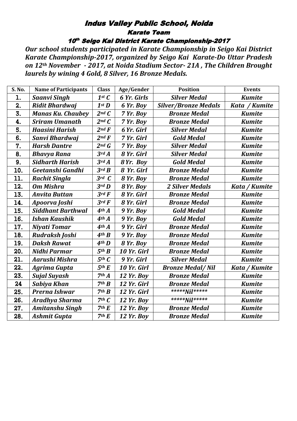# Indus Valley Public School, Noida Karate Team

10th Seigo Kai District Karate Championship-2017

*Our school students participated in Karate Championship in Seigo Kai District Karate Championship-2017, organized by Seigo Kai Karate-Do Uttar Pradesh on 12th November - 2017, at Noida Stadium Sector- 21A , The Children Brought laurels by wining 4 Gold, 8 Silver, 16 Bronze Medals.* 

| S. No.           | <b>Name of Participants</b> | <b>Class</b>      | Age/Gender        | <b>Position</b>             | <b>Events</b> |
|------------------|-----------------------------|-------------------|-------------------|-----------------------------|---------------|
| l.               | <b>Saanvi Singh</b>         | $1^{st}C$         | 6 Yr. Girls       | <b>Silver Medal</b>         | <b>Kumite</b> |
| 2.               | <b>Ridit Bhardwaj</b>       | $1^{st}$ $D$      | 6 Yr. Boy         | <b>Silver/Bronze Medals</b> | Kata / Kumite |
| 3.               | <b>Manas Ku. Chaubey</b>    | $2^{nd}C$         | 7 Yr. Boy         | <b>Bronze Medal</b>         | <b>Kumite</b> |
| 4.               | <b>Sriram Umanath</b>       | $2^{nd}C$         | 7 Yr. Boy         | <b>Bronze Medal</b>         | <b>Kumite</b> |
| 5.               | <b>Haasini Harish</b>       | $2^{nd} F$        | 6 Yr. Girl        | <b>Silver Medal</b>         | <b>Kumite</b> |
| $\overline{6}$ . | Sanvi Bhardwaj              | $2nd$ $F$         | 7 Yr. Girl        | <b>Gold Medal</b>           | <b>Kumite</b> |
| 7.               | <b>Harsh Dantre</b>         | $2^{nd}$ $G$      | 7 Yr. Boy         | <b>Silver Medal</b>         | <b>Kumite</b> |
| 8.               | <b>Bhavya Rana</b>          | 3rdA              | 8 Yr. Girl        | <b>Silver Medal</b>         | <b>Kumite</b> |
| 9.               | <b>Sidharth Harish</b>      | 3rdA              | 8 Yr. Boy         | <b>Gold Medal</b>           | <b>Kumite</b> |
| 10.              | Geetanshi Gandhi            | $3^{rd}$ $B$      | 8 Yr. Girl        | <b>Bronze Medal</b>         | <b>Kumite</b> |
| 11.              | <b>Rachit Singla</b>        | $3^{rd}C$         | 8 Yr. Boy         | <b>Bronze Medal</b>         | <b>Kumite</b> |
| 12.              | <b>Om Mishra</b>            | $3rd$ $D$         | 8 Yr. Boy         | <b>2 Silver Medals</b>      | Kata / Kumite |
| 13.              | <b>Anvita Buttan</b>        | $3^{rd}F$         | 8 Yr. Girl        | <b>Bronze Medal</b>         | <b>Kumite</b> |
| 14.              | Apoorva Joshi               | $3^{rd}F$         | 8 Yr. Girl        | <b>Bronze Medal</b>         | <b>Kumite</b> |
| 15.              | <b>Siddhant Barthwal</b>    | 4 <sup>th</sup> A | 9 Yr. Boy         | <b>Gold Medal</b>           | <b>Kumite</b> |
| 16.              | <b>Ishan Kaushik</b>        | 4 <sup>th</sup> A | 9 Yr. Boy         | <b>Gold Medal</b>           | <b>Kumite</b> |
| 17.              | <b>Niyati Tomar</b>         | 4 <sup>th</sup> A | 9 Yr. Girl        | <b>Bronze Medal</b>         | <b>Kumite</b> |
| 18.              | Rudraksh Joshi              | $4$ th $B$        | 9 Yr. Boy         | <b>Bronze Medal</b>         | <b>Kumite</b> |
| 19.              | <b>Daksh Rawat</b>          | $4$ th $D$        | 8 Yr. Boy         | <b>Bronze Medal</b>         | <b>Kumite</b> |
| 20.              | Nidhi Parmar                | 5 <sup>th</sup> B | 10 Yr. Girl       | <b>Bronze Medal</b>         | <b>Kumite</b> |
| 21.              | Aarushi Mishra              | $5th$ $C$         | 9 Yr. Girl        | <b>Silver Medal</b>         | <b>Kumite</b> |
| 22.              | <b>Agrima Gupta</b>         | 5 <sup>th</sup> E | 10 Yr. Girl       | <b>Bronze Medal/Nil</b>     | Kata / Kumite |
| 23.              | <b>Sujal Suyash</b>         | 7 <sup>th</sup> A | <b>12 Yr. Boy</b> | <b>Bronze Medal</b>         | <b>Kumite</b> |
| 24               | Sabiya Khan                 | 7 <sup>th</sup> B | 12 Yr. Girl       | <b>Bronze Medal</b>         | <b>Kumite</b> |
| 25.              | <b>Prerna Ishwar</b>        | 7 <sup>th</sup> B | 12 Yr. Girl       | ***** <b>Nil</b> *****      | <b>Kumite</b> |
| 26.              | <b>Aradhya Sharma</b>       | 7 <sup>th</sup> C | <b>12 Yr. Boy</b> | ***** <b>Nil</b> *****      | <b>Kumite</b> |
| 27.              | <b>Amitanshu Singh</b>      | 7 <sup>th</sup> E | <b>12 Yr. Boy</b> | <b>Bronze Medal</b>         | <b>Kumite</b> |
| 28.              | <b>Ashmit Gupta</b>         | 7 <sup>th</sup> E | <b>12 Yr. Boy</b> | <b>Bronze Medal</b>         | <b>Kumite</b> |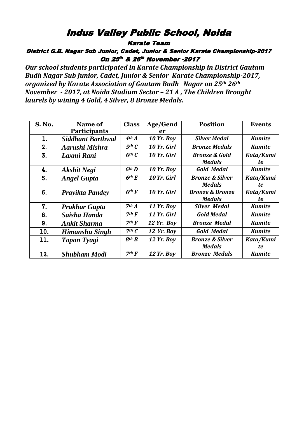# Indus Valley Public School, Noida

Karate Team

District G.B. Nagar Sub Junior, Cadet, Junior & Senior Karate Championship-2017 On 25<sup>th</sup> & 26<sup>th</sup> November -2017

*Our school students participated in Karate Championship in District Gautam Budh Nagar Sub Junior, Cadet, Junior & Senior Karate Championship-2017, organized by Karate Association of Gautam Budh Nagar on 25th 26th November - 2017, at Noida Stadium Sector – 21 A , The Children Brought laurels by wining 4 Gold, 4 Silver, 8 Bronze Medals.* 

| <b>S. No.</b> | Name of                  | <b>Class</b>      | Age/Gend          | <b>Position</b>            | <b>Events</b> |
|---------------|--------------------------|-------------------|-------------------|----------------------------|---------------|
|               | <b>Participants</b>      |                   | er                |                            |               |
| 1.            | <b>Siddhant Barthwal</b> | 4 <sup>th</sup> A | <b>10 Yr. Boy</b> | <b>Silver Medal</b>        | <b>Kumite</b> |
| 2.            | Aarushi Mishra           | $5th$ $C$         | 10 Yr. Girl       | <b>Bronze Medals</b>       | <b>Kumite</b> |
| 3.            | Laxmi Rani               | $6th$ $C$         | 10 Yr. Girl       | <b>Bronze &amp; Gold</b>   | Kata/Kumi     |
|               |                          |                   |                   | <b>Medals</b>              | te            |
| 4.            | Akshit Negi              | 6 <sup>th</sup> D | <b>10 Yr. Boy</b> | <b>Gold Medal</b>          | <b>Kumite</b> |
| 5.            | <b>Angel Gupta</b>       | 6 <sup>th</sup> E | 10 Yr. Girl       | <b>Bronze &amp; Silver</b> | Kata/Kumi     |
|               |                          |                   |                   | <b>Medals</b>              | te            |
| 6.            | <b>Prayikta Pandey</b>   | $6th$ F           | 10 Yr. Girl       | <b>Bronze &amp; Bronze</b> | Kata/Kumi     |
|               |                          |                   |                   | <b>Medals</b>              | te            |
| 7.            | <b>Prakhar Gupta</b>     | 7 <sup>th</sup> A | <b>11 Yr. Boy</b> | <b>Silver Medal</b>        | <b>Kumite</b> |
| 8.            | Saisha Handa             | $7th$ $F$         | 11 Yr. Girl       | <b>Gold Medal</b>          | <b>Kumite</b> |
| 9.            | <b>Ankit Sharma</b>      | $7th$ $F$         | $12$ Yr. Boy      | <b>Bronze Medal</b>        | <b>Kumite</b> |
| 10.           | Himanshu Singh           | $7th$ $C$         | <b>12 Yr. Boy</b> | <b>Gold Medal</b>          | <b>Kumite</b> |
| 11.           | Tapan Tyagi              | 8 <sup>th</sup> B | <b>12 Yr. Boy</b> | <b>Bronze &amp; Silver</b> | Kata/Kumi     |
|               |                          |                   |                   | <b>Medals</b>              | te            |
| 12.           | <b>Shubham Modi</b>      | $7th$ $F$         | <b>12 Yr. Boy</b> | <b>Bronze Medals</b>       | <b>Kumite</b> |